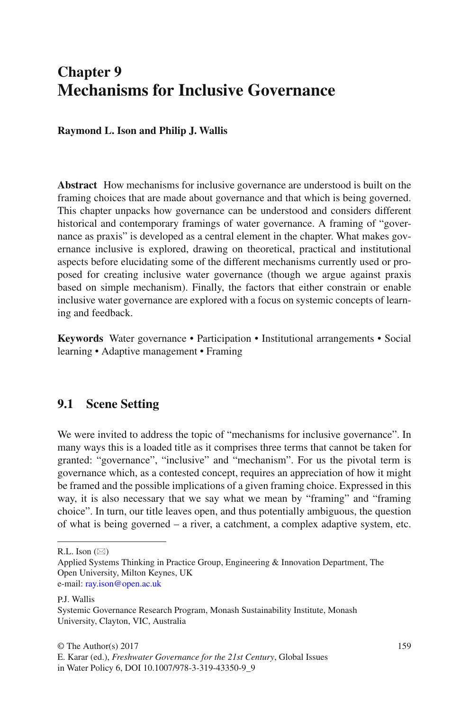# **Chapter 9 Mechanisms for Inclusive Governance**

 **Raymond L. Ison and Philip J. Wallis** 

 **Abstract** How mechanisms for inclusive governance are understood is built on the framing choices that are made about governance and that which is being governed. This chapter unpacks how governance can be understood and considers different historical and contemporary framings of water governance. A framing of "governance as praxis" is developed as a central element in the chapter. What makes governance inclusive is explored, drawing on theoretical, practical and institutional aspects before elucidating some of the different mechanisms currently used or proposed for creating inclusive water governance (though we argue against praxis based on simple mechanism). Finally, the factors that either constrain or enable inclusive water governance are explored with a focus on systemic concepts of learning and feedback.

 **Keywords** Water governance • Participation • Institutional arrangements • Social learning • Adaptive management • Framing

#### **9.1 Scene Setting**

 We were invited to address the topic of "mechanisms for inclusive governance". In many ways this is a loaded title as it comprises three terms that cannot be taken for granted: "governance", "inclusive" and "mechanism". For us the pivotal term is governance which, as a contested concept, requires an appreciation of how it might be framed and the possible implications of a given framing choice. Expressed in this way, it is also necessary that we say what we mean by "framing" and "framing choice". In turn, our title leaves open, and thus potentially ambiguous, the question of what is being governed – a river, a catchment, a complex adaptive system, etc.

R.L. Ison  $(\boxtimes)$ 

Applied Systems Thinking in Practice Group, Engineering  $\&$  Innovation Department, The Open University, Milton Keynes, UK e-mail: [ray.ison@open.ac.uk](mailto:ray.ison@open.ac.uk)

P.J. Wallis

Systemic Governance Research Program, Monash Sustainability Institute, Monash University, Clayton, VIC, Australia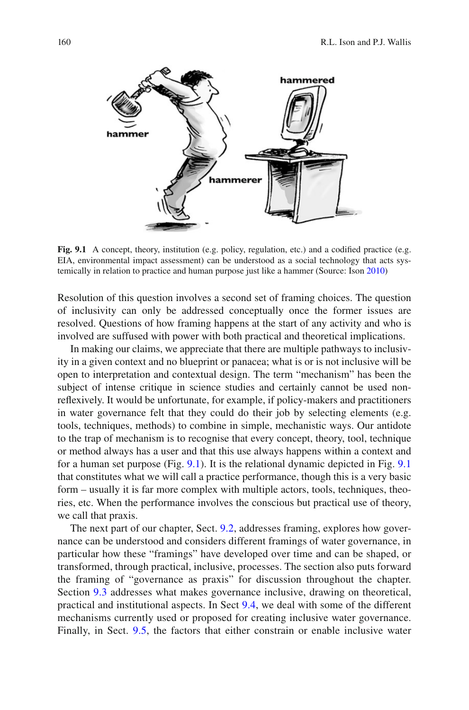<span id="page-1-0"></span>

**Fig. 9.1** A concept, theory, institution (e.g. policy, regulation, etc.) and a codified practice (e.g. EIA, environmental impact assessment) can be understood as a social technology that acts systemically in relation to practice and human purpose just like a hammer (Source: Ison 2010)

Resolution of this question involves a second set of framing choices. The question of inclusivity can only be addressed conceptually once the former issues are resolved. Questions of how framing happens at the start of any activity and who is involved are suffused with power with both practical and theoretical implications.

 In making our claims, we appreciate that there are multiple pathways to inclusivity in a given context and no blueprint or panacea; what is or is not inclusive will be open to interpretation and contextual design. The term "mechanism" has been the subject of intense critique in science studies and certainly cannot be used nonreflexively. It would be unfortunate, for example, if policy-makers and practitioners in water governance felt that they could do their job by selecting elements (e.g. tools, techniques, methods) to combine in simple, mechanistic ways. Our antidote to the trap of mechanism is to recognise that every concept, theory, tool, technique or method always has a user and that this use always happens within a context and for a human set purpose (Fig. 9.1 ). It is the relational dynamic depicted in Fig. 9.1 that constitutes what we will call a practice performance, though this is a very basic form – usually it is far more complex with multiple actors, tools, techniques, theories, etc. When the performance involves the conscious but practical use of theory, we call that praxis.

The next part of our chapter, Sect. [9.2](#page-2-0), addresses framing, explores how governance can be understood and considers different framings of water governance, in particular how these "framings" have developed over time and can be shaped, or transformed, through practical, inclusive, processes. The section also puts forward the framing of "governance as praxis" for discussion throughout the chapter. Section [9.3](#page-8-0) addresses what makes governance inclusive, drawing on theoretical, practical and institutional aspects. In Sect [9.4 ,](#page-11-0) we deal with some of the different mechanisms currently used or proposed for creating inclusive water governance. Finally, in Sect. [9.5](#page-15-0) , the factors that either constrain or enable inclusive water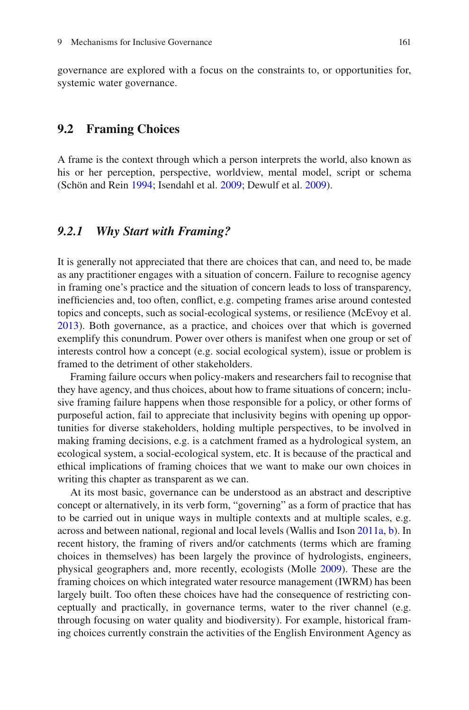<span id="page-2-0"></span>governance are explored with a focus on the constraints to, or opportunities for, systemic water governance.

#### **9.2 Framing Choices**

 A frame is the context through which a person interprets the world, also known as his or her perception, perspective, worldview, mental model, script or schema (Schön and Rein [1994](#page-25-0); Isendahl et al. [2009](#page-23-0); Dewulf et al. 2009).

#### *9.2.1 Why Start with Framing?*

 It is generally not appreciated that there are choices that can, and need to, be made as any practitioner engages with a situation of concern. Failure to recognise agency in framing one's practice and the situation of concern leads to loss of transparency, inefficiencies and, too often, conflict, e.g. competing frames arise around contested topics and concepts, such as social-ecological systems, or resilience (McEvoy et al. 2013). Both governance, as a practice, and choices over that which is governed exemplify this conundrum. Power over others is manifest when one group or set of interests control how a concept (e.g. social ecological system), issue or problem is framed to the detriment of other stakeholders.

 Framing failure occurs when policy-makers and researchers fail to recognise that they have agency, and thus choices, about how to frame situations of concern; inclusive framing failure happens when those responsible for a policy, or other forms of purposeful action, fail to appreciate that inclusivity begins with opening up opportunities for diverse stakeholders, holding multiple perspectives, to be involved in making framing decisions, e.g. is a catchment framed as a hydrological system, an ecological system, a social-ecological system, etc. It is because of the practical and ethical implications of framing choices that we want to make our own choices in writing this chapter as transparent as we can.

 At its most basic, governance can be understood as an abstract and descriptive concept or alternatively, in its verb form, "governing" as a form of practice that has to be carried out in unique ways in multiple contexts and at multiple scales, e.g. across and between national, regional and local levels (Wallis and Ison [2011a](#page-25-0), [b](#page-26-0)). In recent history, the framing of rivers and/or catchments (terms which are framing choices in themselves) has been largely the province of hydrologists, engineers, physical geographers and, more recently, ecologists (Molle [2009](#page-24-0) ). These are the framing choices on which integrated water resource management (IWRM) has been largely built. Too often these choices have had the consequence of restricting conceptually and practically, in governance terms, water to the river channel (e.g. through focusing on water quality and biodiversity). For example, historical framing choices currently constrain the activities of the English Environment Agency as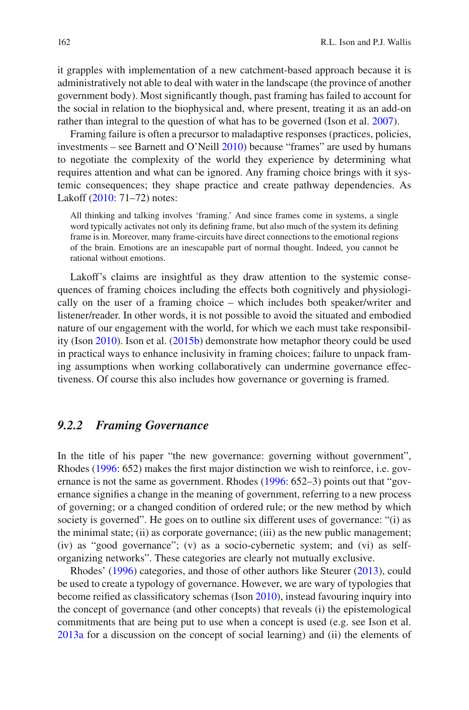it grapples with implementation of a new catchment-based approach because it is administratively not able to deal with water in the landscape (the province of another government body). Most significantly though, past framing has failed to account for the social in relation to the biophysical and, where present, treating it as an add-on rather than integral to the question of what has to be governed (Ison et al. 2007).

Framing failure is often a precursor to maladaptive responses (practices, policies, investments – see Barnett and O'Neill [2010](#page-22-0) ) because "frames" are used by humans to negotiate the complexity of the world they experience by determining what requires attention and what can be ignored. Any framing choice brings with it systemic consequences; they shape practice and create pathway dependencies. As Lakoff  $(2010:71-72)$  notes:

 All thinking and talking involves 'framing.' And since frames come in systems, a single word typically activates not only its defining frame, but also much of the system its defining frame is in. Moreover, many frame-circuits have direct connections to the emotional regions of the brain. Emotions are an inescapable part of normal thought. Indeed, you cannot be rational without emotions.

 Lakoff's claims are insightful as they draw attention to the systemic consequences of framing choices including the effects both cognitively and physiologically on the user of a framing choice – which includes both speaker/writer and listener/reader. In other words, it is not possible to avoid the situated and embodied nature of our engagement with the world, for which we each must take responsibility (Ison  $2010$ ). Ison et al.  $(2015b)$  demonstrate how metaphor theory could be used in practical ways to enhance inclusivity in framing choices; failure to unpack framing assumptions when working collaboratively can undermine governance effectiveness. Of course this also includes how governance or governing is framed.

#### *9.2.2 Framing Governance*

 In the title of his paper "the new governance: governing without government", Rhodes (1996: 652) makes the first major distinction we wish to reinforce, i.e. governance is not the same as government. Rhodes ( [1996 :](#page-25-0) 652–3) points out that "governance signifies a change in the meaning of government, referring to a new process of governing; or a changed condition of ordered rule; or the new method by which society is governed". He goes on to outline six different uses of governance: "(i) as the minimal state; (ii) as corporate governance; (iii) as the new public management; (iv) as "good governance"; (v) as a socio-cybernetic system; and (vi) as selforganizing networks". These categories are clearly not mutually exclusive.

Rhodes' (1996) categories, and those of other authors like Steurer (2013), could be used to create a typology of governance. However, we are wary of typologies that become reified as classificatory schemas (Ison 2010), instead favouring inquiry into the concept of governance (and other concepts) that reveals (i) the epistemological commitments that are being put to use when a concept is used (e.g. see Ison et al. [2013a](#page-23-0) for a discussion on the concept of social learning) and (ii) the elements of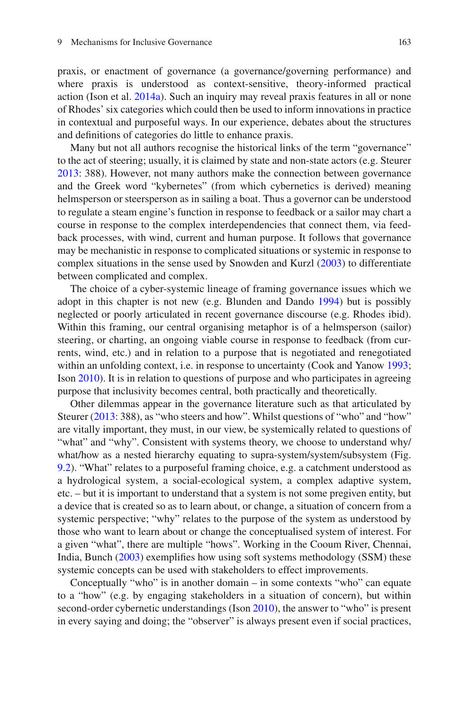praxis, or enactment of governance (a governance/governing performance) and where praxis is understood as context-sensitive, theory-informed practical action (Ison et al. [2014a](#page-24-0)). Such an inquiry may reveal praxis features in all or none of Rhodes' six categories which could then be used to inform innovations in practice in contextual and purposeful ways. In our experience, debates about the structures and definitions of categories do little to enhance praxis.

Many but not all authors recognise the historical links of the term "governance" to the act of steering; usually, it is claimed by state and non-state actors (e.g. Steurer [2013 :](#page-25-0) 388). However, not many authors make the connection between governance and the Greek word "kybernetes" (from which cybernetics is derived) meaning helmsperson or steersperson as in sailing a boat. Thus a governor can be understood to regulate a steam engine's function in response to feedback or a sailor may chart a course in response to the complex interdependencies that connect them, via feedback processes, with wind, current and human purpose. It follows that governance may be mechanistic in response to complicated situations or systemic in response to complex situations in the sense used by Snowden and Kurzl  $(2003)$  to differentiate between complicated and complex.

 The choice of a cyber-systemic lineage of framing governance issues which we adopt in this chapter is not new (e.g. Blunden and Dando  $1994$ ) but is possibly neglected or poorly articulated in recent governance discourse (e.g. Rhodes ibid). Within this framing, our central organising metaphor is of a helmsperson (sailor) steering, or charting, an ongoing viable course in response to feedback (from currents, wind, etc.) and in relation to a purpose that is negotiated and renegotiated within an unfolding context, i.e. in response to uncertainty (Cook and Yanow 1993; Ison [2010](#page-23-0)). It is in relation to questions of purpose and who participates in agreeing purpose that inclusivity becomes central, both practically and theoretically.

 Other dilemmas appear in the governance literature such as that articulated by Steurer (2013: 388), as "who steers and how". Whilst questions of "who" and "how" are vitally important, they must, in our view, be systemically related to questions of "what" and "why". Consistent with systems theory, we choose to understand why/ what/how as a nested hierarchy equating to supra-system/system/subsystem (Fig. [9.2](#page-5-0) ). "What" relates to a purposeful framing choice, e.g. a catchment understood as a hydrological system, a social-ecological system, a complex adaptive system, etc. – but it is important to understand that a system is not some pregiven entity, but a device that is created so as to learn about, or change, a situation of concern from a systemic perspective; "why" relates to the purpose of the system as understood by those who want to learn about or change the conceptualised system of interest. For a given "what", there are multiple "hows". Working in the Cooum River, Chennai, India, Bunch [\( 2003](#page-22-0) ) exemplifies how using soft systems methodology (SSM) these systemic concepts can be used with stakeholders to effect improvements.

 Conceptually "who" is in another domain – in some contexts "who" can equate to a "how" (e.g. by engaging stakeholders in a situation of concern), but within second-order cybernetic understandings (Ison [2010](#page-23-0)), the answer to "who" is present in every saying and doing; the "observer" is always present even if social practices,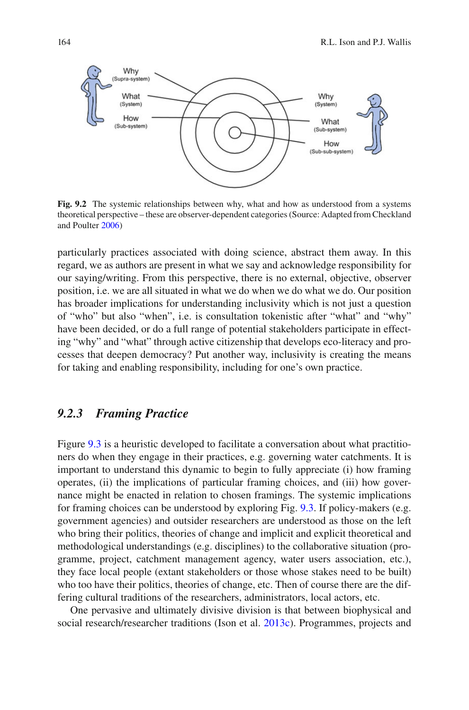<span id="page-5-0"></span>

 **Fig. 9.2** The systemic relationships between why, what and how as understood from a systems theoretical perspective – these are observer-dependent categories (Source: Adapted from Checkland and Poulter 2006)

particularly practices associated with doing science, abstract them away. In this regard, we as authors are present in what we say and acknowledge responsibility for our saying/writing. From this perspective, there is no external, objective, observer position, i.e. we are all situated in what we do when we do what we do. Our position has broader implications for understanding inclusivity which is not just a question of "who" but also "when", i.e. is consultation tokenistic after "what" and "why" have been decided, or do a full range of potential stakeholders participate in effecting "why" and "what" through active citizenship that develops eco-literacy and processes that deepen democracy? Put another way, inclusivity is creating the means for taking and enabling responsibility, including for one's own practice.

#### *9.2.3 Framing Practice*

 Figure [9.3](#page-6-0) is a heuristic developed to facilitate a conversation about what practitioners do when they engage in their practices, e.g. governing water catchments. It is important to understand this dynamic to begin to fully appreciate (i) how framing operates, (ii) the implications of particular framing choices, and (iii) how governance might be enacted in relation to chosen framings. The systemic implications for framing choices can be understood by exploring Fig. [9.3](#page-6-0) . If policy-makers (e.g. government agencies) and outsider researchers are understood as those on the left who bring their politics, theories of change and implicit and explicit theoretical and methodological understandings (e.g. disciplines) to the collaborative situation (programme, project, catchment management agency, water users association, etc.), they face local people (extant stakeholders or those whose stakes need to be built) who too have their politics, theories of change, etc. Then of course there are the differing cultural traditions of the researchers, administrators, local actors, etc.

 One pervasive and ultimately divisive division is that between biophysical and social research/researcher traditions (Ison et al. 2013c). Programmes, projects and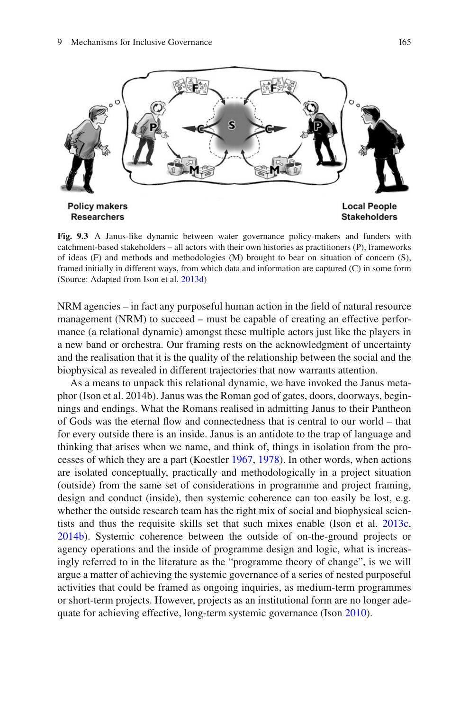<span id="page-6-0"></span>

 **Fig. 9.3** A Janus-like dynamic between water governance policy-makers and funders with catchment- based stakeholders – all actors with their own histories as practitioners (P), frameworks of ideas (F) and methods and methodologies (M) brought to bear on situation of concern (S), framed initially in different ways, from which data and information are captured (C) in some form (Source: Adapted from Ison et al. [2013d](#page-24-0))

 $NRM$  agencies – in fact any purposeful human action in the field of natural resource management (NRM) to succeed – must be capable of creating an effective performance (a relational dynamic) amongst these multiple actors just like the players in a new band or orchestra. Our framing rests on the acknowledgment of uncertainty and the realisation that it is the quality of the relationship between the social and the biophysical as revealed in different trajectories that now warrants attention.

 As a means to unpack this relational dynamic, we have invoked the Janus metaphor (Ison et al. 2014b). Janus was the Roman god of gates, doors, doorways, beginnings and endings. What the Romans realised in admitting Janus to their Pantheon of Gods was the eternal flow and connectedness that is central to our world – that for every outside there is an inside. Janus is an antidote to the trap of language and thinking that arises when we name, and think of, things in isolation from the pro-cesses of which they are a part (Koestler [1967](#page-24-0), 1978). In other words, when actions are isolated conceptually, practically and methodologically in a project situation (outside) from the same set of considerations in programme and project framing, design and conduct (inside), then systemic coherence can too easily be lost, e.g. whether the outside research team has the right mix of social and biophysical scientists and thus the requisite skills set that such mixes enable (Ison et al.  $2013c$ , 2014b). Systemic coherence between the outside of on-the-ground projects or agency operations and the inside of programme design and logic, what is increasingly referred to in the literature as the "programme theory of change", is we will argue a matter of achieving the systemic governance of a series of nested purposeful activities that could be framed as ongoing inquiries, as medium-term programmes or short-term projects. However, projects as an institutional form are no longer ade-quate for achieving effective, long-term systemic governance (Ison [2010](#page-23-0)).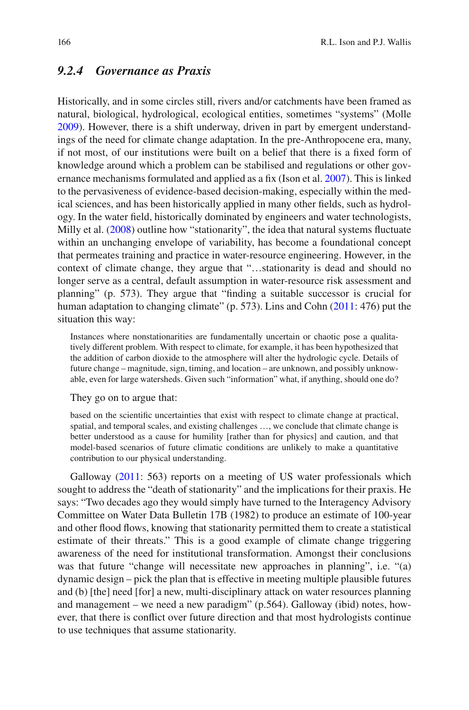#### *9.2.4 Governance as Praxis*

 Historically, and in some circles still, rivers and/or catchments have been framed as natural, biological, hydrological, ecological entities, sometimes "systems" (Molle 2009). However, there is a shift underway, driven in part by emergent understandings of the need for climate change adaptation. In the pre-Anthropocene era, many, if not most, of our institutions were built on a belief that there is a fixed form of knowledge around which a problem can be stabilised and regulations or other gov-ernance mechanisms formulated and applied as a fix (Ison et al. [2007](#page-23-0)). This is linked to the pervasiveness of evidence-based decision-making, especially within the medical sciences, and has been historically applied in many other fields, such as hydrology. In the water field, historically dominated by engineers and water technologists, Milly et al. (2008) outline how "stationarity", the idea that natural systems fluctuate within an unchanging envelope of variability, has become a foundational concept that permeates training and practice in water-resource engineering. However, in the context of climate change, they argue that "…stationarity is dead and should no longer serve as a central, default assumption in water-resource risk assessment and planning" (p. 573). They argue that "finding a suitable successor is crucial for human adaptation to changing climate" (p. 573). Lins and Cohn (2011: 476) put the situation this way:

 Instances where nonstationarities are fundamentally uncertain or chaotic pose a qualitatively different problem. With respect to climate, for example, it has been hypothesized that the addition of carbon dioxide to the atmosphere will alter the hydrologic cycle. Details of future change – magnitude, sign, timing, and location – are unknown, and possibly unknowable, even for large watersheds. Given such "information" what, if anything, should one do?

They go on to argue that:

based on the scientific uncertainties that exist with respect to climate change at practical, spatial, and temporal scales, and existing challenges …, we conclude that climate change is better understood as a cause for humility [rather than for physics] and caution, and that model-based scenarios of future climatic conditions are unlikely to make a quantitative contribution to our physical understanding.

Galloway (2011: 563) reports on a meeting of US water professionals which sought to address the "death of stationarity" and the implications for their praxis. He says: "Two decades ago they would simply have turned to the Interagency Advisory Committee on Water Data Bulletin 17B (1982) to produce an estimate of 100-year and other flood flows, knowing that stationarity permitted them to create a statistical estimate of their threats." This is a good example of climate change triggering awareness of the need for institutional transformation. Amongst their conclusions was that future "change will necessitate new approaches in planning", i.e. "(a) dynamic design – pick the plan that is effective in meeting multiple plausible futures and (b) [the] need [for] a new, multi-disciplinary attack on water resources planning and management – we need a new paradigm" (p.564). Galloway (ibid) notes, however, that there is conflict over future direction and that most hydrologists continue to use techniques that assume stationarity.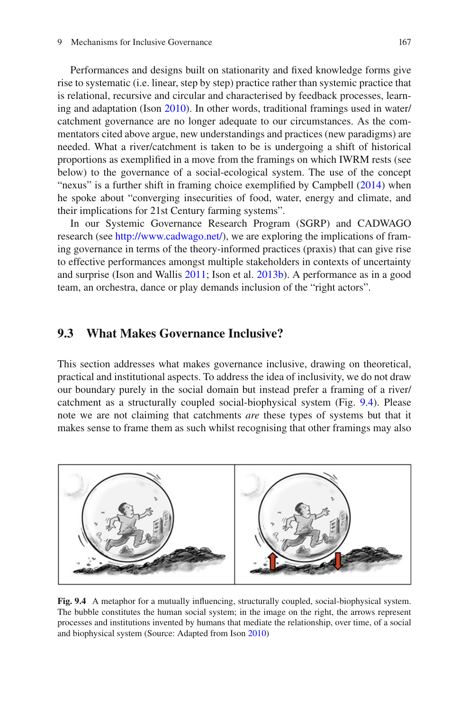<span id="page-8-0"></span>Performances and designs built on stationarity and fixed knowledge forms give rise to systematic (i.e. linear, step by step) practice rather than systemic practice that is relational, recursive and circular and characterised by feedback processes, learning and adaptation (Ison  $2010$ ). In other words, traditional framings used in water/ catchment governance are no longer adequate to our circumstances. As the commentators cited above argue, new understandings and practices (new paradigms) are needed. What a river/catchment is taken to be is undergoing a shift of historical proportions as exemplified in a move from the framings on which IWRM rests (see below) to the governance of a social-ecological system. The use of the concept "nexus" is a further shift in framing choice exemplified by Campbell  $(2014)$  when he spoke about "converging insecurities of food, water, energy and climate, and their implications for 21st Century farming systems".

 In our Systemic Governance Research Program (SGRP) and CADWAGO research (see<http://www.cadwago.net/>), we are exploring the implications of framing governance in terms of the theory-informed practices (praxis) that can give rise to effective performances amongst multiple stakeholders in contexts of uncertainty and surprise (Ison and Wallis [2011](#page-23-0); Ison et al. 2013b). A performance as in a good team, an orchestra, dance or play demands inclusion of the "right actors".

#### **9.3 What Makes Governance Inclusive?**

 This section addresses what makes governance inclusive, drawing on theoretical, practical and institutional aspects. To address the idea of inclusivity, we do not draw our boundary purely in the social domain but instead prefer a framing of a river/ catchment as a structurally coupled social-biophysical system (Fig. 9.4 ). Please note we are not claiming that catchments *are* these types of systems but that it makes sense to frame them as such whilst recognising that other framings may also



Fig. 9.4 A metaphor for a mutually influencing, structurally coupled, social-biophysical system. The bubble constitutes the human social system; in the image on the right, the arrows represent processes and institutions invented by humans that mediate the relationship, over time, of a social and biophysical system (Source: Adapted from Ison 2010)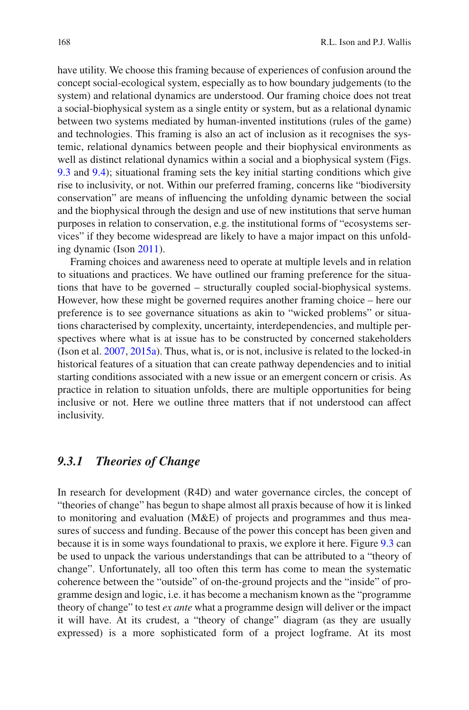have utility. We choose this framing because of experiences of confusion around the concept social-ecological system, especially as to how boundary judgements (to the system) and relational dynamics are understood. Our framing choice does not treat a social-biophysical system as a single entity or system, but as a relational dynamic between two systems mediated by human-invented institutions (rules of the game) and technologies. This framing is also an act of inclusion as it recognises the systemic, relational dynamics between people and their biophysical environments as well as distinct relational dynamics within a social and a biophysical system (Figs. [9.3](#page-6-0) and [9.4](#page-8-0)); situational framing sets the key initial starting conditions which give rise to inclusivity, or not. Within our preferred framing, concerns like "biodiversity conservation" are means of influencing the unfolding dynamic between the social and the biophysical through the design and use of new institutions that serve human purposes in relation to conservation, e.g. the institutional forms of "ecosystems services" if they become widespread are likely to have a major impact on this unfold-ing dynamic (Ison [2011](#page-23-0)).

 Framing choices and awareness need to operate at multiple levels and in relation to situations and practices. We have outlined our framing preference for the situations that have to be governed – structurally coupled social-biophysical systems. However, how these might be governed requires another framing choice – here our preference is to see governance situations as akin to "wicked problems" or situations characterised by complexity, uncertainty, interdependencies, and multiple perspectives where what is at issue has to be constructed by concerned stakeholders (Ison et al.  $2007$ ,  $2015a$ ). Thus, what is, or is not, inclusive is related to the locked-in historical features of a situation that can create pathway dependencies and to initial starting conditions associated with a new issue or an emergent concern or crisis. As practice in relation to situation unfolds, there are multiple opportunities for being inclusive or not. Here we outline three matters that if not understood can affect inclusivity.

#### *9.3.1 Theories of Change*

 In research for development (R4D) and water governance circles, the concept of "theories of change" has begun to shape almost all praxis because of how it is linked to monitoring and evaluation (M&E) of projects and programmes and thus measures of success and funding. Because of the power this concept has been given and because it is in some ways foundational to praxis, we explore it here. Figure [9.3](#page-6-0) can be used to unpack the various understandings that can be attributed to a "theory of change". Unfortunately, all too often this term has come to mean the systematic coherence between the "outside" of on-the-ground projects and the "inside" of programme design and logic, i.e. it has become a mechanism known as the "programme theory of change" to test *ex ante* what a programme design will deliver or the impact it will have. At its crudest, a "theory of change" diagram (as they are usually expressed) is a more sophisticated form of a project logframe. At its most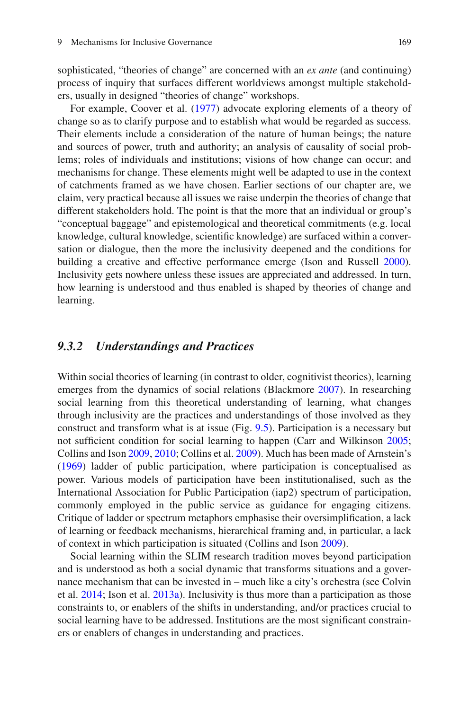sophisticated, "theories of change" are concerned with an *ex ante* (and continuing) process of inquiry that surfaces different worldviews amongst multiple stakeholders, usually in designed "theories of change" workshops.

For example, Coover et al. (1977) advocate exploring elements of a theory of change so as to clarify purpose and to establish what would be regarded as success. Their elements include a consideration of the nature of human beings; the nature and sources of power, truth and authority; an analysis of causality of social problems; roles of individuals and institutions; visions of how change can occur; and mechanisms for change. These elements might well be adapted to use in the context of catchments framed as we have chosen. Earlier sections of our chapter are, we claim, very practical because all issues we raise underpin the theories of change that different stakeholders hold. The point is that the more that an individual or group's "conceptual baggage" and epistemological and theoretical commitments (e.g. local knowledge, cultural knowledge, scientific knowledge) are surfaced within a conversation or dialogue, then the more the inclusivity deepened and the conditions for building a creative and effective performance emerge (Ison and Russell 2000). Inclusivity gets nowhere unless these issues are appreciated and addressed. In turn, how learning is understood and thus enabled is shaped by theories of change and learning.

#### *9.3.2 Understandings and Practices*

 Within social theories of learning (in contrast to older, cognitivist theories), learning emerges from the dynamics of social relations (Blackmore [2007](#page-22-0)). In researching social learning from this theoretical understanding of learning, what changes through inclusivity are the practices and understandings of those involved as they construct and transform what is at issue (Fig. [9.5 \)](#page-11-0). Participation is a necessary but not sufficient condition for social learning to happen (Carr and Wilkinson 2005; Collins and Ison [2009](#page-22-0) , [2010 ;](#page-22-0) Collins et al. [2009](#page-22-0) ). Much has been made of Arnstein's [\( 1969](#page-22-0) ) ladder of public participation, where participation is conceptualised as power. Various models of participation have been institutionalised, such as the International Association for Public Participation (iap2) spectrum of participation, commonly employed in the public service as guidance for engaging citizens. Critique of ladder or spectrum metaphors emphasise their oversimplification, a lack of learning or feedback mechanisms, hierarchical framing and, in particular, a lack of context in which participation is situated (Collins and Ison [2009 \)](#page-22-0).

 Social learning within the SLIM research tradition moves beyond participation and is understood as both a social dynamic that transforms situations and a governance mechanism that can be invested in – much like a city's orchestra (see Colvin et al.  $2014$ ; Ison et al.  $2013a$ ). Inclusivity is thus more than a participation as those constraints to, or enablers of the shifts in understanding, and/or practices crucial to social learning have to be addressed. Institutions are the most significant constrainers or enablers of changes in understanding and practices.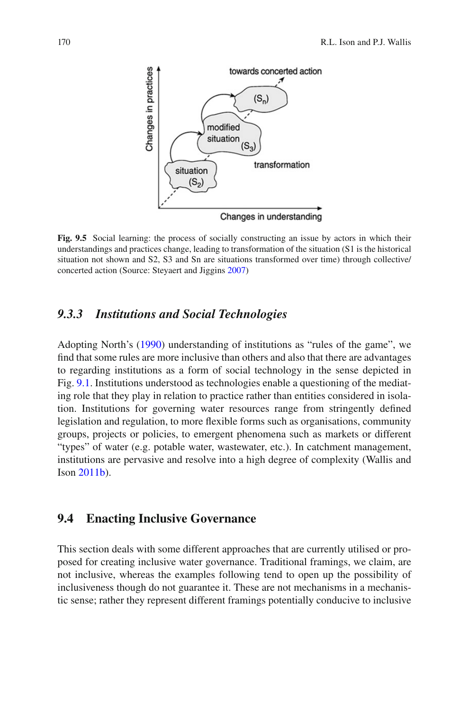<span id="page-11-0"></span>

 **Fig. 9.5** Social learning: the process of socially constructing an issue by actors in which their understandings and practices change, leading to transformation of the situation (S1 is the historical situation not shown and S2, S3 and Sn are situations transformed over time) through collective/ concerted action (Source: Steyaert and Jiggins [2007](#page-25-0))

### *9.3.3 Institutions and Social Technologies*

 Adopting North's [\( 1990](#page-24-0) ) understanding of institutions as "rules of the game", we find that some rules are more inclusive than others and also that there are advantages to regarding institutions as a form of social technology in the sense depicted in Fig. [9.1](#page-1-0) . Institutions understood as technologies enable a questioning of the mediating role that they play in relation to practice rather than entities considered in isolation. Institutions for governing water resources range from stringently defined legislation and regulation, to more flexible forms such as organisations, community groups, projects or policies, to emergent phenomena such as markets or different "types" of water (e.g. potable water, wastewater, etc.). In catchment management, institutions are pervasive and resolve into a high degree of complexity (Wallis and Ison  $2011b$ .

#### **9.4 Enacting Inclusive Governance**

 This section deals with some different approaches that are currently utilised or proposed for creating inclusive water governance. Traditional framings, we claim, are not inclusive, whereas the examples following tend to open up the possibility of inclusiveness though do not guarantee it. These are not mechanisms in a mechanistic sense; rather they represent different framings potentially conducive to inclusive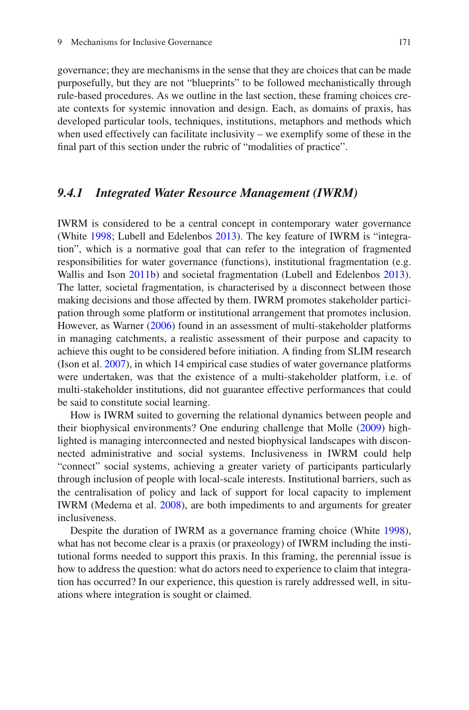governance; they are mechanisms in the sense that they are choices that can be made purposefully, but they are not "blueprints" to be followed mechanistically through rule-based procedures. As we outline in the last section, these framing choices create contexts for systemic innovation and design. Each, as domains of praxis, has developed particular tools, techniques, institutions, metaphors and methods which when used effectively can facilitate inclusivity – we exemplify some of these in the final part of this section under the rubric of "modalities of practice".

#### *9.4.1 Integrated Water Resource Management (IWRM)*

 IWRM is considered to be a central concept in contemporary water governance (White  $1998$ ; Lubell and Edelenbos 2013). The key feature of IWRM is "integration", which is a normative goal that can refer to the integration of fragmented responsibilities for water governance (functions), institutional fragmentation (e.g. Wallis and Ison 2011b) and societal fragmentation (Lubell and Edelenbos 2013). The latter, societal fragmentation, is characterised by a disconnect between those making decisions and those affected by them. IWRM promotes stakeholder participation through some platform or institutional arrangement that promotes inclusion. However, as Warner (2006) found in an assessment of multi-stakeholder platforms in managing catchments, a realistic assessment of their purpose and capacity to achieve this ought to be considered before initiation. A finding from SLIM research (Ison et al. [2007 \)](#page-23-0), in which 14 empirical case studies of water governance platforms were undertaken, was that the existence of a multi-stakeholder platform, i.e. of multi-stakeholder institutions, did not guarantee effective performances that could be said to constitute social learning.

 How is IWRM suited to governing the relational dynamics between people and their biophysical environments? One enduring challenge that Molle (2009) highlighted is managing interconnected and nested biophysical landscapes with disconnected administrative and social systems. Inclusiveness in IWRM could help "connect" social systems, achieving a greater variety of participants particularly through inclusion of people with local-scale interests. Institutional barriers, such as the centralisation of policy and lack of support for local capacity to implement IWRM (Medema et al. 2008), are both impediments to and arguments for greater inclusiveness.

Despite the duration of IWRM as a governance framing choice (White 1998), what has not become clear is a praxis (or praxeology) of IWRM including the institutional forms needed to support this praxis. In this framing, the perennial issue is how to address the question: what do actors need to experience to claim that integration has occurred? In our experience, this question is rarely addressed well, in situations where integration is sought or claimed.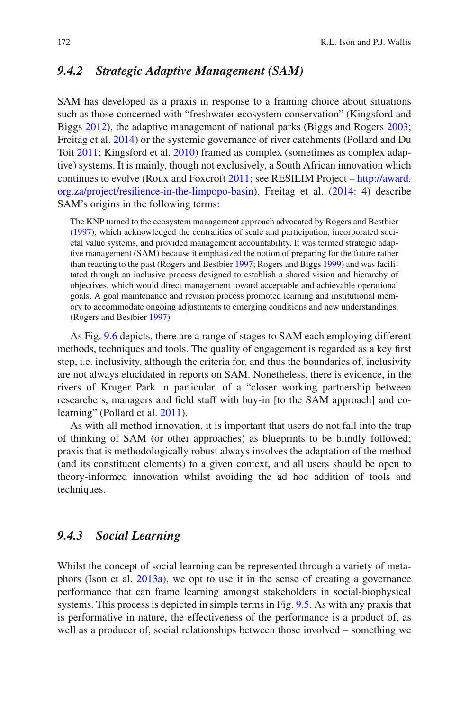#### *9.4.2 Strategic Adaptive Management (SAM)*

 SAM has developed as a praxis in response to a framing choice about situations such as those concerned with "freshwater ecosystem conservation" (Kingsford and Biggs [2012](#page-24-0)), the adaptive management of national parks (Biggs and Rogers 2003; Freitag et al. [2014](#page-23-0)) or the systemic governance of river catchments (Pollard and Du Toit [2011](#page-25-0); Kingsford et al. 2010) framed as complex (sometimes as complex adaptive) systems. It is mainly, though not exclusively, a South African innovation which continues to evolve (Roux and Foxcroft [2011](#page-25-0) ; see RESILIM Project – [http://award.](http://award.org.za/project/resilience-in-the-limpopo-basin) [org.za/project/resilience-in-the-limpopo-basin\)](http://award.org.za/project/resilience-in-the-limpopo-basin). Freitag et al. [\( 2014](#page-23-0) : 4) describe SAM's origins in the following terms:

 The KNP turned to the ecosystem management approach advocated by Rogers and Bestbier (1997), which acknowledged the centralities of scale and participation, incorporated societal value systems, and provided management accountability. It was termed strategic adaptive management (SAM) because it emphasized the notion of preparing for the future rather than reacting to the past (Rogers and Bestbier [1997](#page-25-0); Rogers and Biggs 1999) and was facilitated through an inclusive process designed to establish a shared vision and hierarchy of objectives, which would direct management toward acceptable and achievable operational goals. A goal maintenance and revision process promoted learning and institutional memory to accommodate ongoing adjustments to emerging conditions and new understandings. (Rogers and Bestbier [1997 \)](#page-25-0)

 As Fig. [9.6](#page-14-0) depicts, there are a range of stages to SAM each employing different methods, techniques and tools. The quality of engagement is regarded as a key first step, i.e. inclusivity, although the criteria for, and thus the boundaries of, inclusivity are not always elucidated in reports on SAM. Nonetheless, there is evidence, in the rivers of Kruger Park in particular, of a "closer working partnership between researchers, managers and field staff with buy-in [to the SAM approach] and co-learning" (Pollard et al. [2011](#page-25-0)).

 As with all method innovation, it is important that users do not fall into the trap of thinking of SAM (or other approaches) as blueprints to be blindly followed; praxis that is methodologically robust always involves the adaptation of the method (and its constituent elements) to a given context, and all users should be open to theory-informed innovation whilst avoiding the ad hoc addition of tools and techniques.

#### *9.4.3 Social Learning*

 Whilst the concept of social learning can be represented through a variety of metaphors (Ison et al.  $2013a$ ), we opt to use it in the sense of creating a governance performance that can frame learning amongst stakeholders in social-biophysical systems. This process is depicted in simple terms in Fig. [9.5 .](#page-11-0) As with any praxis that is performative in nature, the effectiveness of the performance is a product of, as well as a producer of, social relationships between those involved – something we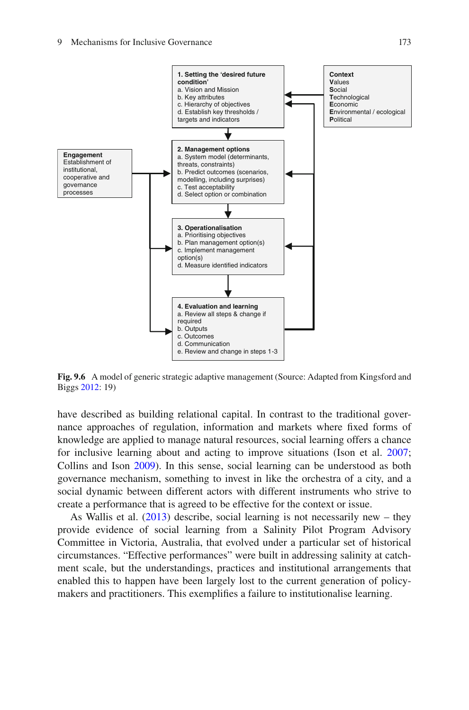<span id="page-14-0"></span>

 **Fig. 9.6** A model of generic strategic adaptive management (Source: Adapted from Kingsford and Biggs 2012: 19)

have described as building relational capital. In contrast to the traditional governance approaches of regulation, information and markets where fixed forms of knowledge are applied to manage natural resources, social learning offers a chance for inclusive learning about and acting to improve situations (Ison et al. 2007; Collins and Ison 2009). In this sense, social learning can be understood as both governance mechanism, something to invest in like the orchestra of a city, and a social dynamic between different actors with different instruments who strive to create a performance that is agreed to be effective for the context or issue.

As Wallis et al.  $(2013)$  describe, social learning is not necessarily new – they provide evidence of social learning from a Salinity Pilot Program Advisory Committee in Victoria, Australia, that evolved under a particular set of historical circumstances. "Effective performances" were built in addressing salinity at catchment scale, but the understandings, practices and institutional arrangements that enabled this to happen have been largely lost to the current generation of policymakers and practitioners. This exemplifies a failure to institutionalise learning.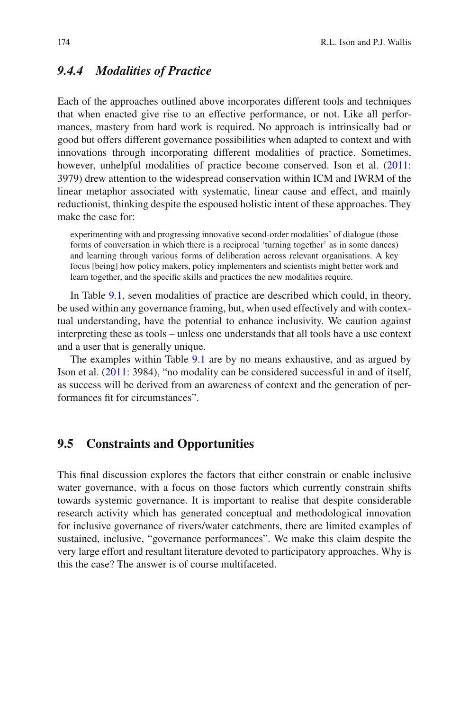#### <span id="page-15-0"></span>*9.4.4 Modalities of Practice*

 Each of the approaches outlined above incorporates different tools and techniques that when enacted give rise to an effective performance, or not. Like all performances, mastery from hard work is required. No approach is intrinsically bad or good but offers different governance possibilities when adapted to context and with innovations through incorporating different modalities of practice. Sometimes, however, unhelpful modalities of practice become conserved. Ison et al. (2011: 3979) drew attention to the widespread conservation within ICM and IWRM of the linear metaphor associated with systematic, linear cause and effect, and mainly reductionist, thinking despite the espoused holistic intent of these approaches. They make the case for:

 experimenting with and progressing innovative second-order modalities' of dialogue (those forms of conversation in which there is a reciprocal 'turning together' as in some dances) and learning through various forms of deliberation across relevant organisations. A key focus [being] how policy makers, policy implementers and scientists might better work and learn together, and the specific skills and practices the new modalities require.

 In Table [9.1 ,](#page-16-0) seven modalities of practice are described which could, in theory, be used within any governance framing, but, when used effectively and with contextual understanding, have the potential to enhance inclusivity. We caution against interpreting these as tools – unless one understands that all tools have a use context and a user that is generally unique.

 The examples within Table [9.1](#page-16-0) are by no means exhaustive, and as argued by Ison et al. ( [2011 :](#page-23-0) 3984), "no modality can be considered successful in and of itself, as success will be derived from an awareness of context and the generation of performances fit for circumstances".

#### **9.5 Constraints and Opportunities**

This final discussion explores the factors that either constrain or enable inclusive water governance, with a focus on those factors which currently constrain shifts towards systemic governance. It is important to realise that despite considerable research activity which has generated conceptual and methodological innovation for inclusive governance of rivers/water catchments, there are limited examples of sustained, inclusive, "governance performances". We make this claim despite the very large effort and resultant literature devoted to participatory approaches. Why is this the case? The answer is of course multifaceted.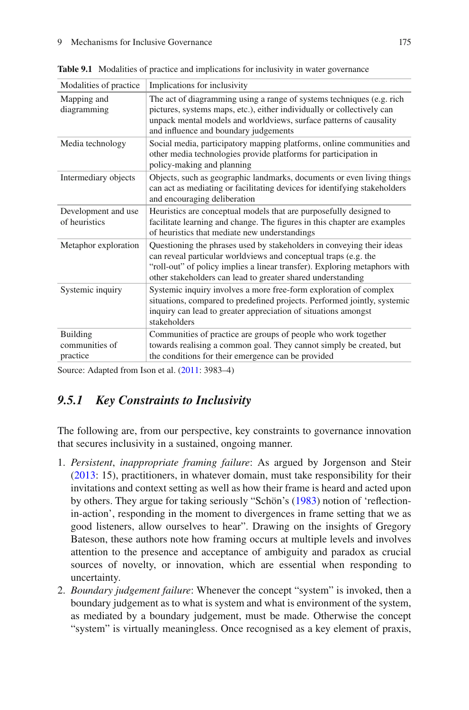| Modalities of practice                        | Implications for inclusivity                                                                                                                                                                                                                                                         |
|-----------------------------------------------|--------------------------------------------------------------------------------------------------------------------------------------------------------------------------------------------------------------------------------------------------------------------------------------|
| Mapping and<br>diagramming                    | The act of diagramming using a range of systems techniques (e.g. rich<br>pictures, systems maps, etc.), either individually or collectively can<br>unpack mental models and worldviews, surface patterns of causality<br>and influence and boundary judgements                       |
| Media technology                              | Social media, participatory mapping platforms, online communities and<br>other media technologies provide platforms for participation in<br>policy-making and planning                                                                                                               |
| Intermediary objects                          | Objects, such as geographic landmarks, documents or even living things<br>can act as mediating or facilitating devices for identifying stakeholders<br>and encouraging deliberation                                                                                                  |
| Development and use<br>of heuristics          | Heuristics are conceptual models that are purposefully designed to<br>facilitate learning and change. The figures in this chapter are examples<br>of heuristics that mediate new understandings                                                                                      |
| Metaphor exploration                          | Questioning the phrases used by stakeholders in conveying their ideas<br>can reveal particular worldviews and conceptual traps (e.g. the<br>"roll-out" of policy implies a linear transfer). Exploring metaphors with<br>other stakeholders can lead to greater shared understanding |
| Systemic inquiry                              | Systemic inquiry involves a more free-form exploration of complex<br>situations, compared to predefined projects. Performed jointly, systemic<br>inquiry can lead to greater appreciation of situations amongst<br>stakeholders                                                      |
| <b>Building</b><br>communities of<br>practice | Communities of practice are groups of people who work together<br>towards realising a common goal. They cannot simply be created, but<br>the conditions for their emergence can be provided                                                                                          |

<span id="page-16-0"></span> **Table 9.1** Modalities of practice and implications for inclusivity in water governance

Source: Adapted from Ison et al. (2011: 3983–4)

## *9.5.1 Key Constraints to Inclusivity*

 The following are, from our perspective, key constraints to governance innovation that secures inclusivity in a sustained, ongoing manner.

- 1. *Persistent* , *inappropriate framing failure* : As argued by Jorgenson and Steir (2013: 15), practitioners, in whatever domain, must take responsibility for their invitations and context setting as well as how their frame is heard and acted upon by others. They argue for taking seriously "Schön's (1983) notion of 'reflectionin- action', responding in the moment to divergences in frame setting that we as good listeners, allow ourselves to hear". Drawing on the insights of Gregory Bateson, these authors note how framing occurs at multiple levels and involves attention to the presence and acceptance of ambiguity and paradox as crucial sources of novelty, or innovation, which are essential when responding to uncertainty.
- 2. *Boundary judgement failure*: Whenever the concept "system" is invoked, then a boundary judgement as to what is system and what is environment of the system, as mediated by a boundary judgement, must be made. Otherwise the concept "system" is virtually meaningless. Once recognised as a key element of praxis,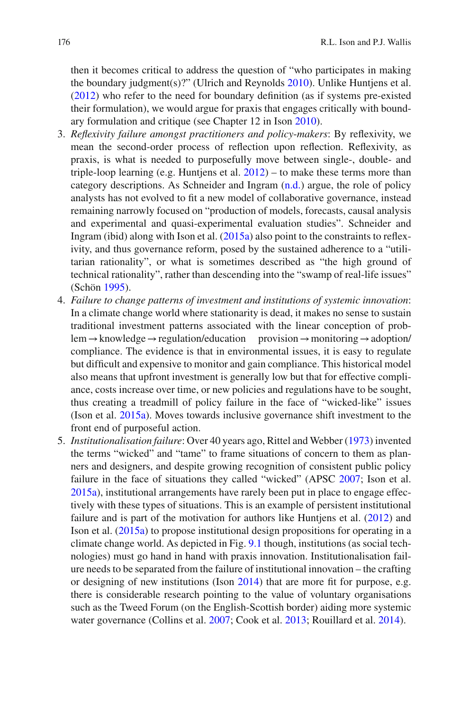then it becomes critical to address the question of "who participates in making the boundary judgment(s)?" (Ulrich and Reynolds 2010). Unlike Huntjens et al.  $(2012)$  who refer to the need for boundary definition (as if systems pre-existed their formulation), we would argue for praxis that engages critically with boundary formulation and critique (see Chapter 12 in Ison 2010).

- 3. *Reflexivity failure amongst practitioners and policy-makers*: By reflexivity, we mean the second-order process of reflection upon reflection. Reflexivity, as praxis, is what is needed to purposefully move between single-, double- and triple-loop learning (e.g. Huntjens et al.  $2012$ ) – to make these terms more than category descriptions. As Schneider and Ingram  $(n.d.)$  argue, the role of policy analysts has not evolved to fit a new model of collaborative governance, instead remaining narrowly focused on "production of models, forecasts, causal analysis and experimental and quasi-experimental evaluation studies". Schneider and Ingram (ibid) along with Ison et al.  $(2015a)$  also point to the constraints to reflexivity, and thus governance reform, posed by the sustained adherence to a "utilitarian rationality", or what is sometimes described as "the high ground of technical rationality", rather than descending into the "swamp of real-life issues" (Schön [1995](#page-25-0)).
- 4. *Failure to change patterns of investment and institutions of systemic innovation* : In a climate change world where stationarity is dead, it makes no sense to sustain traditional investment patterns associated with the linear conception of prob- $\text{lem} \rightarrow \text{knowledge} \rightarrow \text{regulation/eduction}$  provision  $\rightarrow \text{monitoring} \rightarrow \text{adoption/}$ compliance. The evidence is that in environmental issues, it is easy to regulate but difficult and expensive to monitor and gain compliance. This historical model also means that upfront investment is generally low but that for effective compliance, costs increase over time, or new policies and regulations have to be sought, thus creating a treadmill of policy failure in the face of "wicked-like" issues (Ison et al. 2015a). Moves towards inclusive governance shift investment to the front end of purposeful action.
- 5. *Institutionalisation failure* : Over 40 years ago, Rittel and Webber [\( 1973](#page-25-0) ) invented the terms "wicked" and "tame" to frame situations of concern to them as planners and designers, and despite growing recognition of consistent public policy failure in the face of situations they called "wicked" (APSC 2007; Ison et al. 2015a), institutional arrangements have rarely been put in place to engage effectively with these types of situations. This is an example of persistent institutional failure and is part of the motivation for authors like Huntjens et al.  $(2012)$  and Ison et al. (2015a) to propose institutional design propositions for operating in a climate change world. As depicted in Fig. [9.1](#page-1-0) though, institutions (as social technologies) must go hand in hand with praxis innovation. Institutionalisation failure needs to be separated from the failure of institutional innovation – the crafting or designing of new institutions (Ison  $2014$ ) that are more fit for purpose, e.g. there is considerable research pointing to the value of voluntary organisations such as the Tweed Forum (on the English-Scottish border) aiding more systemic water governance (Collins et al. 2007; Cook et al. [2013](#page-23-0); Rouillard et al. 2014).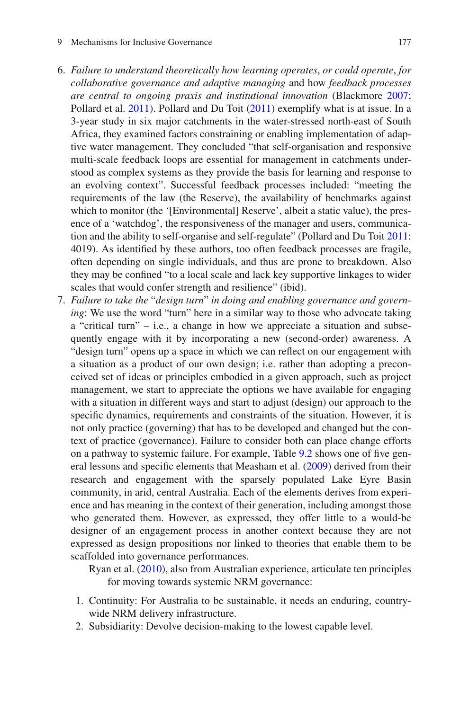#### 9 Mechanisms for Inclusive Governance

- 6. *Failure to understand theoretically how learning operates* , *or could operate* , *for collaborative governance and adaptive managing* and how *feedback processes are central to ongoing praxis and institutional innovation* (Blackmore [2007 ;](#page-22-0) Pollard et al. [2011](#page-25-0)). Pollard and Du Toit (2011) exemplify what is at issue. In a 3-year study in six major catchments in the water-stressed north-east of South Africa, they examined factors constraining or enabling implementation of adaptive water management. They concluded "that self-organisation and responsive multi-scale feedback loops are essential for management in catchments understood as complex systems as they provide the basis for learning and response to an evolving context". Successful feedback processes included: "meeting the requirements of the law (the Reserve), the availability of benchmarks against which to monitor (the '[Environmental] Reserve', albeit a static value), the presence of a 'watchdog', the responsiveness of the manager and users, communication and the ability to self-organise and self-regulate" (Pollard and Du Toit [2011 :](#page-25-0) 4019). As identified by these authors, too often feedback processes are fragile, often depending on single individuals, and thus are prone to breakdown. Also they may be confined "to a local scale and lack key supportive linkages to wider scales that would confer strength and resilience" (ibid).
- 7. *Failure to take the* " *design turn* " *in doing and enabling governance and governing*: We use the word "turn" here in a similar way to those who advocate taking a "critical turn" – i.e., a change in how we appreciate a situation and subsequently engage with it by incorporating a new (second-order) awareness. A "design turn" opens up a space in which we can reflect on our engagement with a situation as a product of our own design; i.e. rather than adopting a preconceived set of ideas or principles embodied in a given approach, such as project management, we start to appreciate the options we have available for engaging with a situation in different ways and start to adjust (design) our approach to the specific dynamics, requirements and constraints of the situation. However, it is not only practice (governing) that has to be developed and changed but the context of practice (governance). Failure to consider both can place change efforts on a pathway to systemic failure. For example, Table [9.2](#page-19-0) shows one of five general lessons and specific elements that Measham et al. (2009) derived from their research and engagement with the sparsely populated Lake Eyre Basin community, in arid, central Australia. Each of the elements derives from experience and has meaning in the context of their generation, including amongst those who generated them. However, as expressed, they offer little to a would-be designer of an engagement process in another context because they are not expressed as design propositions nor linked to theories that enable them to be scaffolded into governance performances.
	- Ryan et al. (2010), also from Australian experience, articulate ten principles for moving towards systemic NRM governance:
	- 1. Continuity: For Australia to be sustainable, it needs an enduring, countrywide NRM delivery infrastructure.
	- 2. Subsidiarity: Devolve decision-making to the lowest capable level.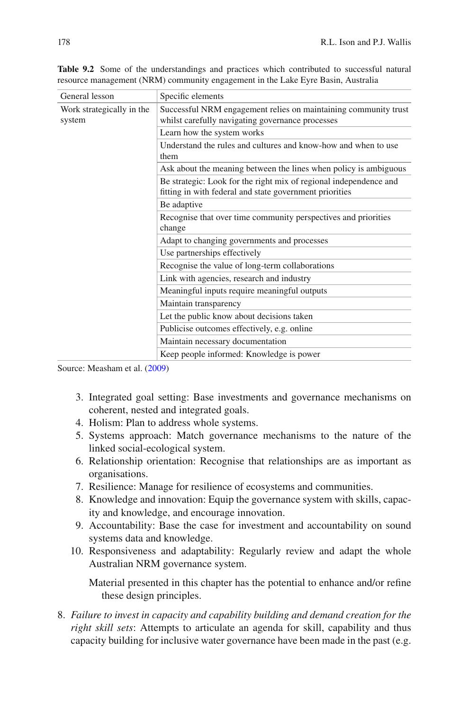| General lesson                      | Specific elements                                                                                                            |
|-------------------------------------|------------------------------------------------------------------------------------------------------------------------------|
| Work strategically in the<br>system | Successful NRM engagement relies on maintaining community trust<br>whilst carefully navigating governance processes          |
|                                     | Learn how the system works                                                                                                   |
|                                     | Understand the rules and cultures and know-how and when to use<br>them                                                       |
|                                     | Ask about the meaning between the lines when policy is ambiguous                                                             |
|                                     | Be strategic: Look for the right mix of regional independence and<br>fitting in with federal and state government priorities |
|                                     | Be adaptive                                                                                                                  |
|                                     | Recognise that over time community perspectives and priorities<br>change                                                     |
|                                     | Adapt to changing governments and processes                                                                                  |
|                                     | Use partnerships effectively                                                                                                 |
|                                     | Recognise the value of long-term collaborations                                                                              |
|                                     | Link with agencies, research and industry                                                                                    |
|                                     | Meaningful inputs require meaningful outputs                                                                                 |
|                                     | Maintain transparency                                                                                                        |
|                                     | Let the public know about decisions taken                                                                                    |
|                                     | Publicise outcomes effectively, e.g. online                                                                                  |
|                                     | Maintain necessary documentation                                                                                             |
|                                     | Keep people informed: Knowledge is power                                                                                     |

<span id="page-19-0"></span> **Table 9.2** Some of the understandings and practices which contributed to successful natural resource management (NRM) community engagement in the Lake Eyre Basin, Australia

Source: Measham et al. (2009)

- 3. Integrated goal setting: Base investments and governance mechanisms on coherent, nested and integrated goals.
- 4. Holism: Plan to address whole systems.
- 5. Systems approach: Match governance mechanisms to the nature of the linked social-ecological system.
- 6. Relationship orientation: Recognise that relationships are as important as organisations.
- 7. Resilience: Manage for resilience of ecosystems and communities.
- 8. Knowledge and innovation: Equip the governance system with skills, capacity and knowledge, and encourage innovation.
- 9. Accountability: Base the case for investment and accountability on sound systems data and knowledge.
- 10. Responsiveness and adaptability: Regularly review and adapt the whole Australian NRM governance system.

Material presented in this chapter has the potential to enhance and/or refine these design principles.

 8. *Failure to invest in capacity and capability building and demand creation for the right skill sets*: Attempts to articulate an agenda for skill, capability and thus capacity building for inclusive water governance have been made in the past (e.g.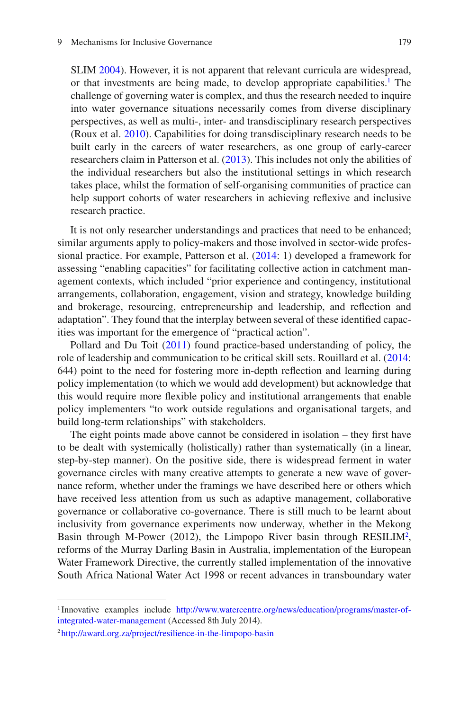SLIM 2004). However, it is not apparent that relevant curricula are widespread, or that investments are being made, to develop appropriate capabilities.<sup>1</sup> The challenge of governing water is complex, and thus the research needed to inquire into water governance situations necessarily comes from diverse disciplinary perspectives, as well as multi-, inter- and transdisciplinary research perspectives (Roux et al. [2010](#page-25-0)). Capabilities for doing transdisciplinary research needs to be built early in the careers of water researchers, as one group of early-career researchers claim in Patterson et al. (2013). This includes not only the abilities of the individual researchers but also the institutional settings in which research takes place, whilst the formation of self-organising communities of practice can help support cohorts of water researchers in achieving reflexive and inclusive research practice.

 It is not only researcher understandings and practices that need to be enhanced; similar arguments apply to policy-makers and those involved in sector-wide professional practice. For example, Patterson et al. ( [2014 :](#page-24-0) 1) developed a framework for assessing "enabling capacities" for facilitating collective action in catchment management contexts, which included "prior experience and contingency, institutional arrangements, collaboration, engagement, vision and strategy, knowledge building and brokerage, resourcing, entrepreneurship and leadership, and reflection and adaptation". They found that the interplay between several of these identified capacities was important for the emergence of "practical action".

Pollard and Du Toit  $(2011)$  found practice-based understanding of policy, the role of leadership and communication to be critical skill sets. Rouillard et al. (2014: 644) point to the need for fostering more in-depth reflection and learning during policy implementation (to which we would add development) but acknowledge that this would require more flexible policy and institutional arrangements that enable policy implementers "to work outside regulations and organisational targets, and build long-term relationships" with stakeholders.

The eight points made above cannot be considered in isolation  $-$  they first have to be dealt with systemically (holistically) rather than systematically (in a linear, step-by-step manner). On the positive side, there is widespread ferment in water governance circles with many creative attempts to generate a new wave of governance reform, whether under the framings we have described here or others which have received less attention from us such as adaptive management, collaborative governance or collaborative co-governance. There is still much to be learnt about inclusivity from governance experiments now underway, whether in the Mekong Basin through M-Power (2012), the Limpopo River basin through RESILIM<sup>2</sup>, reforms of the Murray Darling Basin in Australia, implementation of the European Water Framework Directive, the currently stalled implementation of the innovative South Africa National Water Act 1998 or recent advances in transboundary water

<sup>1</sup> Innovative examples include [http://www.watercentre.org/news/education/programs/master-of](http://www.watercentre.org/news/education/programs/master-of-integrated-water-management)[integrated-water-management](http://www.watercentre.org/news/education/programs/master-of-integrated-water-management) (Accessed 8th July 2014).

<sup>2</sup> <http://award.org.za/project/resilience-in-the-limpopo-basin>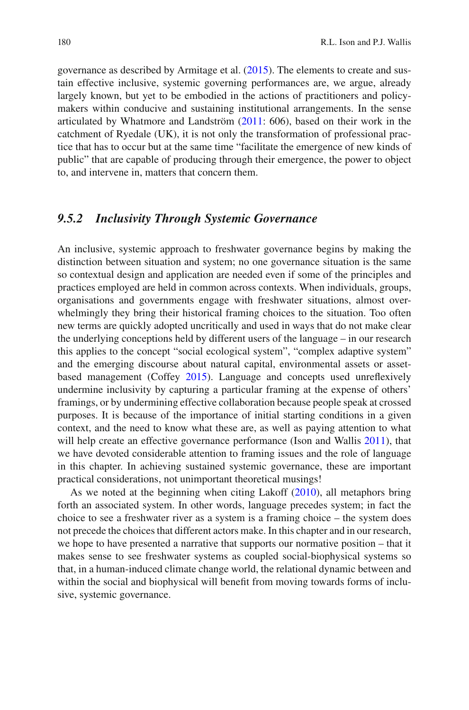governance as described by Armitage et al. (2015). The elements to create and sustain effective inclusive, systemic governing performances are, we argue, already largely known, but yet to be embodied in the actions of practitioners and policymakers within conducive and sustaining institutional arrangements. In the sense articulated by Whatmore and Landström [\( 2011](#page-26-0) : 606), based on their work in the catchment of Ryedale (UK), it is not only the transformation of professional practice that has to occur but at the same time "facilitate the emergence of new kinds of public" that are capable of producing through their emergence, the power to object to, and intervene in, matters that concern them.

#### *9.5.2 Inclusivity Through Systemic Governance*

 An inclusive, systemic approach to freshwater governance begins by making the distinction between situation and system; no one governance situation is the same so contextual design and application are needed even if some of the principles and practices employed are held in common across contexts. When individuals, groups, organisations and governments engage with freshwater situations, almost overwhelmingly they bring their historical framing choices to the situation. Too often new terms are quickly adopted uncritically and used in ways that do not make clear the underlying conceptions held by different users of the language – in our research this applies to the concept "social ecological system", "complex adaptive system" and the emerging discourse about natural capital, environmental assets or asset-based management (Coffey [2015](#page-22-0)). Language and concepts used unreflexively undermine inclusivity by capturing a particular framing at the expense of others' framings, or by undermining effective collaboration because people speak at crossed purposes. It is because of the importance of initial starting conditions in a given context, and the need to know what these are, as well as paying attention to what will help create an effective governance performance (Ison and Wallis 2011), that we have devoted considerable attention to framing issues and the role of language in this chapter. In achieving sustained systemic governance, these are important practical considerations, not unimportant theoretical musings!

As we noted at the beginning when citing Lakoff  $(2010)$ , all metaphors bring forth an associated system. In other words, language precedes system; in fact the choice to see a freshwater river as a system is a framing choice – the system does not precede the choices that different actors make. In this chapter and in our research, we hope to have presented a narrative that supports our normative position – that it makes sense to see freshwater systems as coupled social-biophysical systems so that, in a human-induced climate change world, the relational dynamic between and within the social and biophysical will benefit from moving towards forms of inclusive, systemic governance.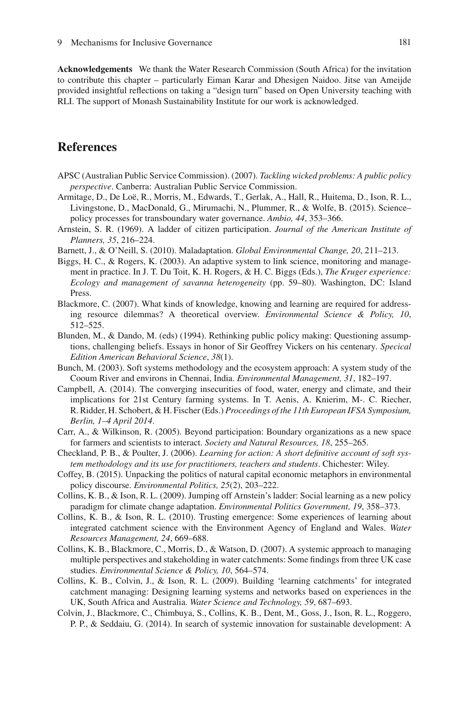<span id="page-22-0"></span> **Acknowledgements** We thank the Water Research Commission (South Africa) for the invitation to contribute this chapter – particularly Eiman Karar and Dhesigen Naidoo. Jitse van Ameijde provided insightful reflections on taking a "design turn" based on Open University teaching with RLI. The support of Monash Sustainability Institute for our work is acknowledged.

#### **References**

- APSC (Australian Public Service Commission). (2007). *Tackling wicked problems: A public policy perspective* . Canberra: Australian Public Service Commission.
- Armitage, D., De Loë, R., Morris, M., Edwards, T., Gerlak, A., Hall, R., Huitema, D., Ison, R. L., Livingstone, D., MacDonald, G., Mirumachi, N., Plummer, R., & Wolfe, B. (2015). Science– policy processes for transboundary water governance. *Ambio, 44* , 353–366.
- Arnstein, S. R. (1969). A ladder of citizen participation. *Journal of the American Institute of Planners, 35* , 216–224.
- Barnett, J., & O'Neill, S. (2010). Maladaptation. *Global Environmental Change, 20* , 211–213.
- Biggs, H. C., & Rogers, K. (2003). An adaptive system to link science, monitoring and management in practice. In J. T. Du Toit, K. H. Rogers, & H. C. Biggs (Eds.), *The Kruger experience: Ecology and management of savanna heterogeneity* (pp. 59–80). Washington, DC: Island Press.
- Blackmore, C. (2007). What kinds of knowledge, knowing and learning are required for addressing resource dilemmas? A theoretical overview. *Environmental Science & Policy, 10* , 512–525.
- Blunden, M., & Dando, M. (eds) (1994). Rethinking public policy making: Questioning assumptions, challenging beliefs. Essays in honor of Sir Geoffrey Vickers on his centenary *. Specical Edition American Behavioral Science* , *38* (1).
- Bunch, M. (2003). Soft systems methodology and the ecosystem approach: A system study of the Cooum River and environs in Chennai, India. *Environmental Management, 31* , 182–197.
- Campbell, A. (2014). The converging insecurities of food, water, energy and climate, and their implications for 21st Century farming systems. In T. Aenis, A. Knierim, M-. C. Riecher, R. Ridder, H. Schobert, & H. Fischer (Eds.) *Proceedings of the 11th European IFSA Symposium, Berlin, 1–4 April 2014* .
- Carr, A., & Wilkinson, R. (2005). Beyond participation: Boundary organizations as a new space for farmers and scientists to interact. *Society and Natural Resources, 18* , 255–265.
- Checkland, P. B., & Poulter, J. (2006). *Learning for action: A short definitive account of soft system methodology and its use for practitioners, teachers and students* . Chichester: Wiley.
- Coffey, B. (2015). Unpacking the politics of natural capital economic metaphors in environmental policy discourse. *Environmental Politics, 25* (2), 203–222.
- Collins, K. B., & Ison, R. L. (2009). Jumping off Arnstein's ladder: Social learning as a new policy paradigm for climate change adaptation. *Environmental Politics Government, 19* , 358–373.
- Collins, K. B., & Ison, R. L. (2010). Trusting emergence: Some experiences of learning about integrated catchment science with the Environment Agency of England and Wales. *Water Resources Management, 24* , 669–688.
- Collins, K. B., Blackmore, C., Morris, D., & Watson, D. (2007). A systemic approach to managing multiple perspectives and stakeholding in water catchments: Some findings from three UK case studies. *Environmental Science & Policy, 10* , 564–574.
- Collins, K. B., Colvin, J., & Ison, R. L. (2009). Building 'learning catchments' for integrated catchment managing: Designing learning systems and networks based on experiences in the UK, South Africa and Australia. *Water Science and Technology, 59* , 687–693.
- Colvin, J., Blackmore, C., Chimbuya, S., Collins, K. B., Dent, M., Goss, J., Ison, R. L., Roggero, P. P., & Seddaiu, G. (2014). In search of systemic innovation for sustainable development: A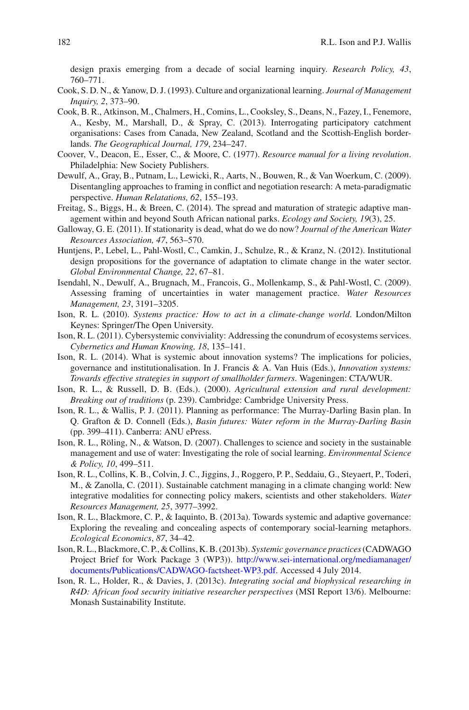<span id="page-23-0"></span>design praxis emerging from a decade of social learning inquiry. *Research Policy, 43* , 760–771.

- Cook, S. D. N., & Yanow, D. J. (1993). Culture and organizational learning. *Journal of Management Inquiry, 2* , 373–90.
- Cook, B. R., Atkinson, M., Chalmers, H., Comins, L., Cooksley, S., Deans, N., Fazey, I., Fenemore, A., Kesby, M., Marshall, D., & Spray, C. (2013). Interrogating participatory catchment organisations: Cases from Canada, New Zealand, Scotland and the Scottish-English borderlands. *The Geographical Journal*, 179, 234–247.
- Coover, V., Deacon, E., Esser, C., & Moore, C. (1977). *Resource manual for a living revolution* . Philadelphia: New Society Publishers.
- Dewulf, A., Gray, B., Putnam, L., Lewicki, R., Aarts, N., Bouwen, R., & Van Woerkum, C. (2009). Disentangling approaches to framing in conflict and negotiation research: A meta-paradigmatic perspective. *Human Relatations, 62* , 155–193.
- Freitag, S., Biggs, H., & Breen, C. (2014). The spread and maturation of strategic adaptive management within and beyond South African national parks. *Ecology and Society*, 19(3), 25.
- Galloway, G. E. (2011). If stationarity is dead, what do we do now? *Journal of the American Water Resources Association, 47* , 563–570.
- Huntjens, P., Lebel, L., Pahl-Wostl, C., Camkin, J., Schulze, R., & Kranz, N. (2012). Institutional design propositions for the governance of adaptation to climate change in the water sector. *Global Environmental Change, 22* , 67–81.
- Isendahl, N., Dewulf, A., Brugnach, M., Francois, G., Mollenkamp, S., & Pahl-Wostl, C. (2009). Assessing framing of uncertainties in water management practice. *Water Resources Management, 23* , 3191–3205.
- Ison, R. L. (2010). *Systems practice: How to act in a climate-change world* . London/Milton Keynes: Springer/The Open University.
- Ison, R. L. (2011). Cybersystemic conviviality: Addressing the conundrum of ecosystems services. *Cybernetics and Human Knowing, 18* , 135–141.
- Ison, R. L. (2014). What is systemic about innovation systems? The implications for policies, governance and institutionalisation. In J. Francis & A. Van Huis (Eds.), *Innovation systems: Towards effective strategies in support of smallholder farmers* . Wageningen: CTA/WUR.
- Ison, R. L., & Russell, D. B. (Eds.). (2000). *Agricultural extension and rural development: Breaking out of traditions* (p. 239). Cambridge: Cambridge University Press.
- Ison, R. L., & Wallis, P. J. (2011). Planning as performance: The Murray-Darling Basin plan. In Q. Grafton & D. Connell (Eds.), *Basin futures: Water reform in the Murray-Darling Basin* (pp. 399–411). Canberra: ANU ePress.
- Ison, R. L., Röling, N., & Watson, D. (2007). Challenges to science and society in the sustainable management and use of water: Investigating the role of social learning. *Environmental Science & Policy, 10* , 499–511.
- Ison, R. L., Collins, K. B., Colvin, J. C., Jiggins, J., Roggero, P. P., Seddaiu, G., Steyaert, P., Toderi, M., & Zanolla, C. (2011). Sustainable catchment managing in a climate changing world: New integrative modalities for connecting policy makers, scientists and other stakeholders. *Water Resources Management, 25* , 3977–3992.
- Ison, R. L., Blackmore, C. P., & Iaquinto, B. (2013a). Towards systemic and adaptive governance: Exploring the revealing and concealing aspects of contemporary social-learning metaphors. *Ecological Economics* , *87* , 34–42.
- Ison, R. L., Blackmore, C. P., & Collins, K. B. (2013b). *Systemic governance practices* (CADWAGO Project Brief for Work Package 3 (WP3)). [http://www.sei-international.org/mediamanager/](http://www.sei-international.org/mediamanager/documents/Publications/CADWAGO-factsheet-WP3.pdf) [documents/Publications/CADWAGO-factsheet-WP3.pdf](http://www.sei-international.org/mediamanager/documents/Publications/CADWAGO-factsheet-WP3.pdf). Accessed 4 July 2014.
- Ison, R. L., Holder, R., & Davies, J. (2013c). *Integrating social and biophysical researching in R4D: African food security initiative researcher perspectives* (MSI Report 13/6). Melbourne: Monash Sustainability Institute.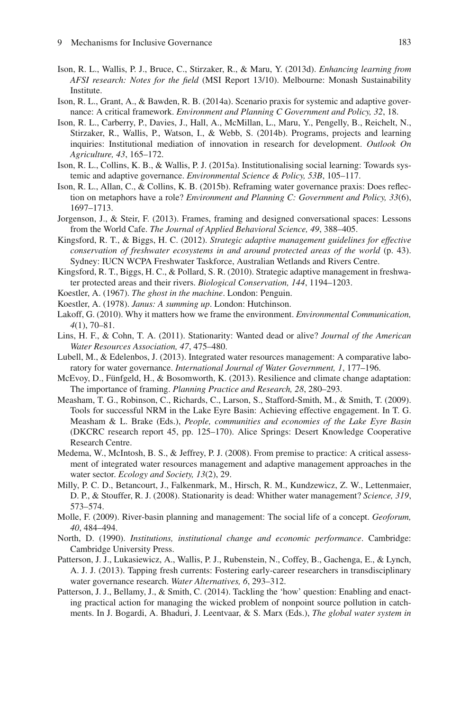- <span id="page-24-0"></span> Ison, R. L., Wallis, P. J., Bruce, C., Stirzaker, R., & Maru, Y. (2013d). *Enhancing learning from AFSI research: Notes for the field* (MSI Report 13/10). Melbourne: Monash Sustainability Institute.
- Ison, R. L., Grant, A., & Bawden, R. B. (2014a). Scenario praxis for systemic and adaptive governance: A critical framework. *Environment and Planning C Government and Policy, 32* , 18.
- Ison, R. L., Carberry, P., Davies, J., Hall, A., McMillan, L., Maru, Y., Pengelly, B., Reichelt, N., Stirzaker, R., Wallis, P., Watson, I., & Webb, S. (2014b). Programs, projects and learning inquiries: Institutional mediation of innovation in research for development. *Outlook On Agriculture, 43* , 165–172.
- Ison, R. L., Collins, K. B., & Wallis, P. J. (2015a). Institutionalising social learning: Towards systemic and adaptive governance. *Environmental Science & Policy, 53B* , 105–117.
- Ison, R. L., Allan, C., & Collins, K. B. (2015b). Reframing water governance praxis: Does reflection on metaphors have a role? *Environment and Planning C: Government and Policy, 33* (6), 1697–1713.
- Jorgenson, J., & Steir, F. (2013). Frames, framing and designed conversational spaces: Lessons from the World Cafe. *The Journal of Applied Behavioral Science, 49* , 388–405.
- Kingsford, R. T., & Biggs, H. C. (2012). *Strategic adaptive management guidelines for effective conservation of freshwater ecosystems in and around protected areas of the world* (p. 43). Sydney: IUCN WCPA Freshwater Taskforce, Australian Wetlands and Rivers Centre.
- Kingsford, R. T., Biggs, H. C., & Pollard, S. R. (2010). Strategic adaptive management in freshwater protected areas and their rivers. *Biological Conservation, 144* , 1194–1203.
- Koestler, A. (1967). *The ghost in the machine* . London: Penguin.
- Koestler, A. (1978). *Janus: A summing up* . London: Hutchinson.
- Lakoff, G. (2010). Why it matters how we frame the environment. *Environmental Communication, 4* (1), 70–81.
- Lins, H. F., & Cohn, T. A. (2011). Stationarity: Wanted dead or alive? *Journal of the American Water Resources Association, 47, 475-480.*
- Lubell, M., & Edelenbos, J. (2013). Integrated water resources management: A comparative laboratory for water governance. *International Journal of Water Government, 1* , 177–196.
- McEvoy, D., Fünfgeld, H., & Bosomworth, K. (2013). Resilience and climate change adaptation: The importance of framing. *Planning Practice and Research*, 28, 280–293.
- Measham, T. G., Robinson, C., Richards, C., Larson, S., Stafford-Smith, M., & Smith, T. (2009). Tools for successful NRM in the Lake Eyre Basin: Achieving effective engagement. In T. G. Measham & L. Brake (Eds.), *People, communities and economies of the Lake Eyre Basin* (DKCRC research report 45, pp. 125–170). Alice Springs: Desert Knowledge Cooperative Research Centre.
- Medema, W., McIntosh, B. S., & Jeffrey, P. J. (2008). From premise to practice: A critical assessment of integrated water resources management and adaptive management approaches in the water sector. *Ecology and Society, 13(2), 29.*
- Milly, P. C. D., Betancourt, J., Falkenmark, M., Hirsch, R. M., Kundzewicz, Z. W., Lettenmaier, D. P., & Stouffer, R. J. (2008). Stationarity is dead: Whither water management? *Science, 319* , 573–574.
- Molle, F. (2009). River-basin planning and management: The social life of a concept. *Geoforum, 40* , 484–494.
- North, D. (1990). *Institutions, institutional change and economic performance* . Cambridge: Cambridge University Press.
- Patterson, J. J., Lukasiewicz, A., Wallis, P. J., Rubenstein, N., Coffey, B., Gachenga, E., & Lynch, A. J. J. (2013). Tapping fresh currents: Fostering early-career researchers in transdisciplinary water governance research. *Water Alternatives, 6* , 293–312.
- Patterson, J. J., Bellamy, J., & Smith, C. (2014). Tackling the 'how' question: Enabling and enacting practical action for managing the wicked problem of nonpoint source pollution in catchments. In J. Bogardi, A. Bhaduri, J. Leentvaar, & S. Marx (Eds.), *The global water system in*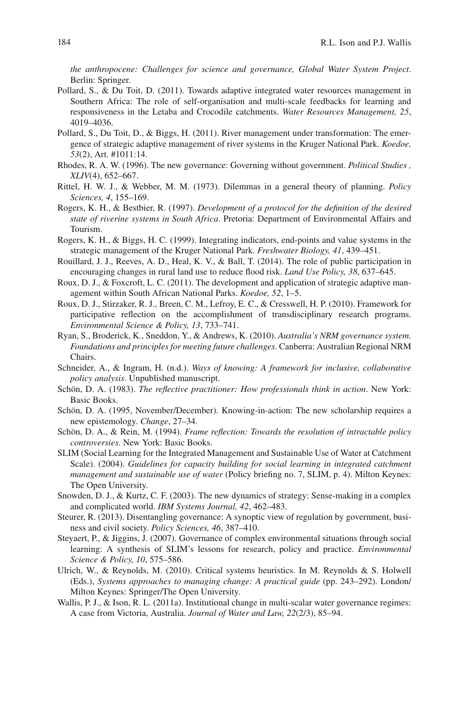<span id="page-25-0"></span>*the anthropocene: Challenges for science and governance, Global Water System Project* . Berlin: Springer.

- Pollard, S., & Du Toit, D. (2011). Towards adaptive integrated water resources management in Southern Africa: The role of self-organisation and multi-scale feedbacks for learning and responsiveness in the Letaba and Crocodile catchments. *Water Resources Management, 25* , 4019–4036.
- Pollard, S., Du Toit, D., & Biggs, H. (2011). River management under transformation: The emergence of strategic adaptive management of river systems in the Kruger National Park. *Koedoe, 53* (2), Art. #1011:14.
- Rhodes, R. A. W. (1996). The new governance: Governing without government. *Political Studies , XLIV*(4), 652-667.
- Rittel, H. W. J., & Webber, M. M. (1973). Dilemmas in a general theory of planning. *Policy Sciences, 4* , 155–169.
- Rogers, K. H., & Bestbier, R. (1997). *Development of a protocol for the definition of the desired state of riverine systems in South Africa* . Pretoria: Department of Environmental Affairs and Tourism.
- Rogers, K. H., & Biggs, H. C. (1999). Integrating indicators, end-points and value systems in the strategic management of the Kruger National Park. *Freshwater Biology, 41* , 439–451.
- Rouillard, J. J., Reeves, A. D., Heal, K. V., & Ball, T. (2014). The role of public participation in encouraging changes in rural land use to reduce flood risk. *Land Use Policy*, 38, 637–645.
- Roux, D. J., & Foxcroft, L. C. (2011). The development and application of strategic adaptive management within South African National Parks. *Koedoe, 52* , 1–5.
- Roux, D. J., Stirzaker, R. J., Breen, C. M., Lefroy, E. C., & Cresswell, H. P. (2010). Framework for participative reflection on the accomplishment of transdisciplinary research programs. *Environmental Science & Policy, 13* , 733–741.
- Ryan, S., Broderick, K., Sneddon, Y., & Andrews, K. (2010). *Australia's NRM governance system. Foundations and principles for meeting future challenges* . Canberra: Australian Regional NRM Chairs.
- Schneider, A., & Ingram, H. (n.d.). *Ways of knowing: A framework for inclusive, collaborative policy analysis* . Unpublished manuscript.
- Schön, D. A. (1983). *The reflective practitioner: How professionals think in action*. New York: Basic Books.
- Schön, D. A. (1995, November/December). Knowing-in-action: The new scholarship requires a new epistemology. *Change* , 27–34.
- Schön, D. A., & Rein, M. (1994). *Frame reflection: Towards the resolution of intractable policy controversies* . New York: Basic Books.
- SLIM (Social Learning for the Integrated Management and Sustainable Use of Water at Catchment Scale). (2004). *Guidelines for capacity building for social learning in integrated catchment management and sustainable use of water* (Policy briefing no. 7, SLIM, p. 4). Milton Keynes: The Open University.
- Snowden, D. J., & Kurtz, C. F. (2003). The new dynamics of strategy: Sense-making in a complex and complicated world. *IBM Systems Journal, 42* , 462–483.
- Steurer, R. (2013). Disentangling governance: A synoptic view of regulation by government, business and civil society. *Policy Sciences, 46* , 387–410.
- Steyaert, P., & Jiggins, J. (2007). Governance of complex environmental situations through social learning: A synthesis of SLIM's lessons for research, policy and practice. *Environmental Science & Policy, 10* , 575–586.
- Ulrich, W., & Reynolds, M. (2010). Critical systems heuristics. In M. Reynolds & S. Holwell (Eds.), *Systems approaches to managing change: A practical guide* (pp. 243–292). London/ Milton Keynes: Springer/The Open University.
- Wallis, P. J., & Ison, R. L. (2011a). Institutional change in multi-scalar water governance regimes: A case from Victoria, Australia. *Journal of Water and Law, 22* (2/3), 85–94.